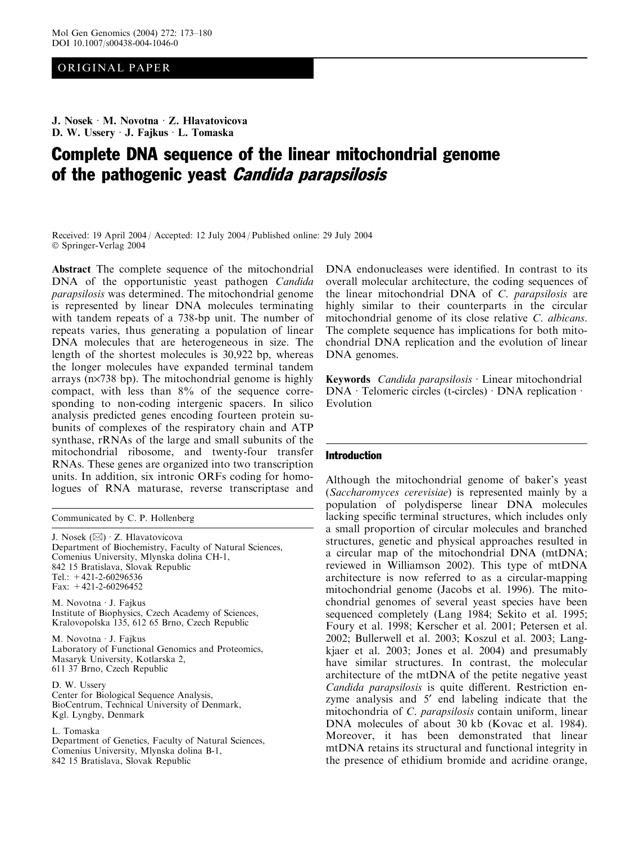## ORIGINAL PAPER

J. Nosek · M. Novotna · Z. Hlavatovicova D. W. Ussery **J. Fajkus L. Tomaska** 

# Complete DNA sequence of the linear mitochondrial genome of the pathogenic yeast *Candida parapsilosis*

Received: 19 April 2004 / Accepted: 12 July 2004 / Published online: 29 July 2004 Springer-Verlag 2004

Abstract The complete sequence of the mitochondrial DNA of the opportunistic yeast pathogen Candida parapsilosis was determined. The mitochondrial genome is represented by linear DNA molecules terminating with tandem repeats of a 738-bp unit. The number of repeats varies, thus generating a population of linear DNA molecules that are heterogeneous in size. The length of the shortest molecules is 30,922 bp, whereas the longer molecules have expanded terminal tandem arrays ( $nx738$  bp). The mitochondrial genome is highly compact, with less than 8% of the sequence corresponding to non-coding intergenic spacers. In silico analysis predicted genes encoding fourteen protein subunits of complexes of the respiratory chain and ATP synthase, rRNAs of the large and small subunits of the mitochondrial ribosome, and twenty-four transfer RNAs. These genes are organized into two transcription units. In addition, six intronic ORFs coding for homologues of RNA maturase, reverse transcriptase and

Communicated by C. P. Hollenberg

J. Nosek  $(\boxtimes) \cdot Z$ . Hlavatovicova Department of Biochemistry, Faculty of Natural Sciences, Comenius University, Mlynska dolina CH-1, 842 15 Bratislava, Slovak Republic Tel.:  $+421-2-60296536$ Fax: +421-2-60296452

M. Novotna  $\cdot$  J. Fajkus Institute of Biophysics, Czech Academy of Sciences, Kralovopolska 135, 612 65 Brno, Czech Republic

M. Novotna · J. Fajkus Laboratory of Functional Genomics and Proteomics, Masaryk University, Kotlarska 2, 611 37 Brno, Czech Republic

D. W. Ussery Center for Biological Sequence Analysis, BioCentrum, Technical University of Denmark, Kgl. Lyngby, Denmark

L. Tomaska Department of Genetics, Faculty of Natural Sciences, Comenius University, Mlynska dolina B-1, 842 15 Bratislava, Slovak Republic

DNA endonucleases were identified. In contrast to its overall molecular architecture, the coding sequences of the linear mitochondrial DNA of C. parapsilosis are highly similar to their counterparts in the circular mitochondrial genome of its close relative C. albicans. The complete sequence has implications for both mitochondrial DNA replication and the evolution of linear DNA genomes.

Keywords *Candida parapsilosis*  $\cdot$  Linear mitochondrial  $DNA \cdot Telomeric$  circles (t-circles)  $\cdot DNA$  replication  $\cdot$ Evolution

#### Introduction

Although the mitochondrial genome of baker's yeast (Saccharomyces cerevisiae) is represented mainly by a population of polydisperse linear DNA molecules lacking specific terminal structures, which includes only a small proportion of circular molecules and branched structures, genetic and physical approaches resulted in a circular map of the mitochondrial DNA (mtDNA; reviewed in Williamson 2002). This type of mtDNA architecture is now referred to as a circular-mapping mitochondrial genome (Jacobs et al. 1996). The mitochondrial genomes of several yeast species have been sequenced completely (Lang 1984; Sekito et al. 1995; Foury et al. 1998; Kerscher et al. 2001; Petersen et al. 2002; Bullerwell et al. 2003; Koszul et al. 2003; Langkjaer et al. 2003; Jones et al. 2004) and presumably have similar structures. In contrast, the molecular architecture of the mtDNA of the petite negative yeast Candida parapsilosis is quite different. Restriction enzyme analysis and 5' end labeling indicate that the mitochondria of C. parapsilosis contain uniform, linear DNA molecules of about 30 kb (Kovac et al. 1984). Moreover, it has been demonstrated that linear mtDNA retains its structural and functional integrity in the presence of ethidium bromide and acridine orange,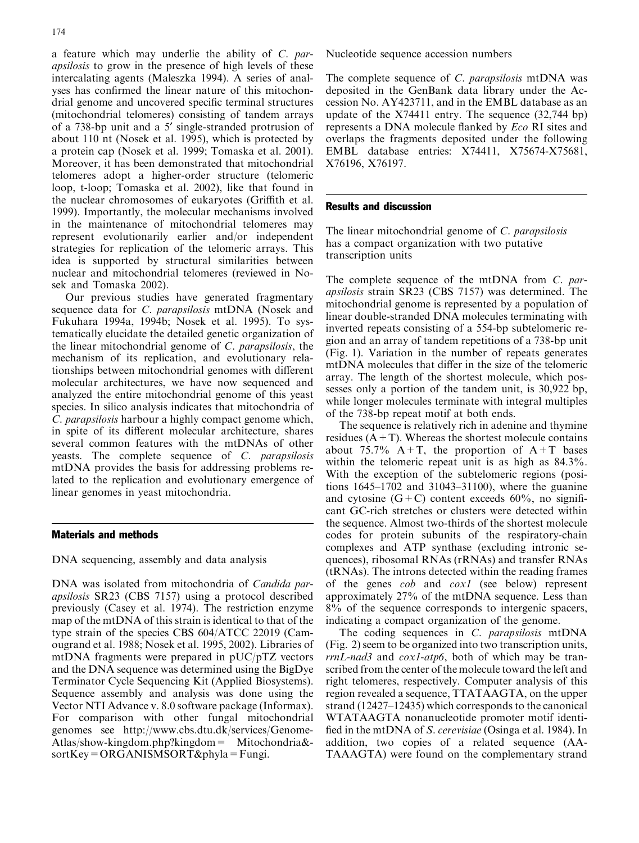a feature which may underlie the ability of C. parapsilosis to grow in the presence of high levels of these intercalating agents (Maleszka 1994). A series of analyses has confirmed the linear nature of this mitochondrial genome and uncovered specific terminal structures (mitochondrial telomeres) consisting of tandem arrays of a 738-bp unit and a 5¢ single-stranded protrusion of about 110 nt (Nosek et al. 1995), which is protected by a protein cap (Nosek et al. 1999; Tomaska et al. 2001). Moreover, it has been demonstrated that mitochondrial telomeres adopt a higher-order structure (telomeric loop, t-loop; Tomaska et al. 2002), like that found in the nuclear chromosomes of eukaryotes (Griffith et al. 1999). Importantly, the molecular mechanisms involved in the maintenance of mitochondrial telomeres may represent evolutionarily earlier and/or independent strategies for replication of the telomeric arrays. This idea is supported by structural similarities between nuclear and mitochondrial telomeres (reviewed in Nosek and Tomaska 2002).

Our previous studies have generated fragmentary sequence data for C. parapsilosis mtDNA (Nosek and Fukuhara 1994a, 1994b; Nosek et al. 1995). To systematically elucidate the detailed genetic organization of the linear mitochondrial genome of C. parapsilosis, the mechanism of its replication, and evolutionary relationships between mitochondrial genomes with different molecular architectures, we have now sequenced and analyzed the entire mitochondrial genome of this yeast species. In silico analysis indicates that mitochondria of C. parapsilosis harbour a highly compact genome which, in spite of its different molecular architecture, shares several common features with the mtDNAs of other yeasts. The complete sequence of C. parapsilosis mtDNA provides the basis for addressing problems related to the replication and evolutionary emergence of linear genomes in yeast mitochondria.

## Materials and methods

DNA sequencing, assembly and data analysis

DNA was isolated from mitochondria of *Candida par*apsilosis SR23 (CBS 7157) using a protocol described previously (Casey et al. 1974). The restriction enzyme map of the mtDNA of this strain is identical to that of the type strain of the species CBS 604/ATCC 22019 (Camougrand et al. 1988; Nosek et al. 1995, 2002). Libraries of mtDNA fragments were prepared in pUC/pTZ vectors and the DNA sequence was determined using the BigDye Terminator Cycle Sequencing Kit (Applied Biosystems). Sequence assembly and analysis was done using the Vector NTI Advance v. 8.0 software package (Informax). For comparison with other fungal mitochondrial genomes see http://www.cbs.dtu.dk/services/Genome-Atlas/show-kingdom.php?kingdom= Mitochondria& sortKey=ORGANISMSORT&phyla=Fungi.

Nucleotide sequence accession numbers

The complete sequence of *C. parapsilosis* mtDNA was deposited in the GenBank data library under the Accession No. AY423711, and in the EMBL database as an update of the X74411 entry. The sequence (32,744 bp) represents a DNA molecule flanked by Eco RI sites and overlaps the fragments deposited under the following EMBL database entries: X74411, X75674-X75681, X76196, X76197.

## Results and discussion

The linear mitochondrial genome of C. parapsilosis has a compact organization with two putative transcription units

The complete sequence of the mtDNA from C. parapsilosis strain SR23 (CBS 7157) was determined. The mitochondrial genome is represented by a population of linear double-stranded DNA molecules terminating with inverted repeats consisting of a 554-bp subtelomeric region and an array of tandem repetitions of a 738-bp unit (Fig. 1). Variation in the number of repeats generates mtDNA molecules that differ in the size of the telomeric array. The length of the shortest molecule, which possesses only a portion of the tandem unit, is 30,922 bp, while longer molecules terminate with integral multiples of the 738-bp repeat motif at both ends.

The sequence is relatively rich in adenine and thymine residues  $(A+T)$ . Whereas the shortest molecule contains about 75.7%  $A+T$ , the proportion of  $A+T$  bases within the telomeric repeat unit is as high as 84.3%. With the exception of the subtelomeric regions (positions 1645–1702 and 31043–31100), where the guanine and cytosine  $(G+C)$  content exceeds 60%, no significant GC-rich stretches or clusters were detected within the sequence. Almost two-thirds of the shortest molecule codes for protein subunits of the respiratory-chain complexes and ATP synthase (excluding intronic sequences), ribosomal RNAs (rRNAs) and transfer RNAs (tRNAs). The introns detected within the reading frames of the genes cob and cox1 (see below) represent approximately 27% of the mtDNA sequence. Less than 8% of the sequence corresponds to intergenic spacers, indicating a compact organization of the genome.

The coding sequences in C. parapsilosis mtDNA (Fig. 2) seem to be organized into two transcription units, rrnL-nad3 and cox1-atp6, both of which may be transcribed from the center of the molecule toward the left and right telomeres, respectively. Computer analysis of this region revealed a sequence, TTATAAGTA, on the upper strand (12427–12435) which corresponds to the canonical WTATAAGTA nonanucleotide promoter motif identified in the mtDNA of S. cerevisiae (Osinga et al. 1984). In addition, two copies of a related sequence (AA-TAAAGTA) were found on the complementary strand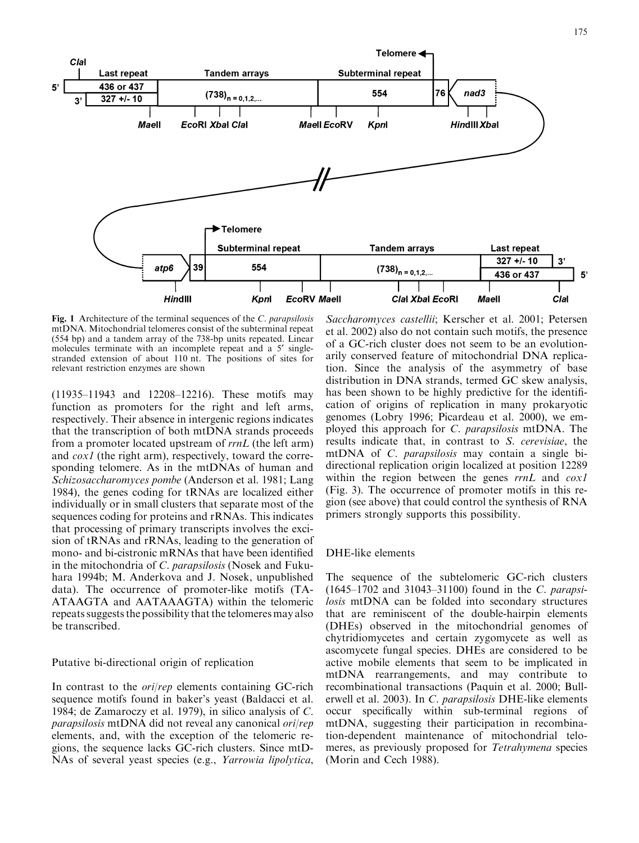

Fig. 1 Architecture of the terminal sequences of the C. parapsilosis mtDNA. Mitochondrial telomeres consist of the subterminal repeat (554 bp) and a tandem array of the 738-bp units repeated. Linear molecules terminate with an incomplete repeat and a 5<sup>'</sup> singlestranded extension of about 110 nt. The positions of sites for relevant restriction enzymes are shown

(11935–11943 and 12208–12216). These motifs may function as promoters for the right and left arms, respectively. Their absence in intergenic regions indicates that the transcription of both mtDNA strands proceeds from a promoter located upstream of rrnL (the left arm) and cox1 (the right arm), respectively, toward the corresponding telomere. As in the mtDNAs of human and Schizosaccharomyces pombe (Anderson et al. 1981; Lang 1984), the genes coding for tRNAs are localized either individually or in small clusters that separate most of the sequences coding for proteins and rRNAs. This indicates that processing of primary transcripts involves the excision of tRNAs and rRNAs, leading to the generation of mono- and bi-cistronic mRNAs that have been identified in the mitochondria of C. parapsilosis (Nosek and Fukuhara 1994b; M. Anderkova and J. Nosek, unpublished data). The occurrence of promoter-like motifs (TA-ATAAGTA and AATAAAGTA) within the telomeric repeats suggests the possibility that the telomeres may also be transcribed.

### Putative bi-directional origin of replication

In contrast to the ori/rep elements containing GC-rich sequence motifs found in baker's yeast (Baldacci et al. 1984; de Zamaroczy et al. 1979), in silico analysis of C. parapsilosis mtDNA did not reveal any canonical ori/rep elements, and, with the exception of the telomeric regions, the sequence lacks GC-rich clusters. Since mtD-NAs of several yeast species (e.g., Yarrowia lipolytica,

Saccharomyces castellii; Kerscher et al. 2001; Petersen et al. 2002) also do not contain such motifs, the presence of a GC-rich cluster does not seem to be an evolutionarily conserved feature of mitochondrial DNA replication. Since the analysis of the asymmetry of base distribution in DNA strands, termed GC skew analysis, has been shown to be highly predictive for the identification of origins of replication in many prokaryotic genomes (Lobry 1996; Picardeau et al. 2000), we employed this approach for C. parapsilosis mtDNA. The results indicate that, in contrast to S. cerevisiae, the mtDNA of C. parapsilosis may contain a single bidirectional replication origin localized at position 12289 within the region between the genes rrnL and coxl (Fig. 3). The occurrence of promoter motifs in this region (see above) that could control the synthesis of RNA primers strongly supports this possibility.

### DHE-like elements

The sequence of the subtelomeric GC-rich clusters (1645–1702 and 31043–31100) found in the C. parapsilosis mtDNA can be folded into secondary structures that are reminiscent of the double-hairpin elements (DHEs) observed in the mitochondrial genomes of chytridiomycetes and certain zygomycete as well as ascomycete fungal species. DHEs are considered to be active mobile elements that seem to be implicated in mtDNA rearrangements, and may contribute to recombinational transactions (Paquin et al. 2000; Bullerwell et al. 2003). In C. parapsilosis DHE-like elements occur specifically within sub-terminal regions of mtDNA, suggesting their participation in recombination-dependent maintenance of mitochondrial telomeres, as previously proposed for Tetrahymena species (Morin and Cech 1988).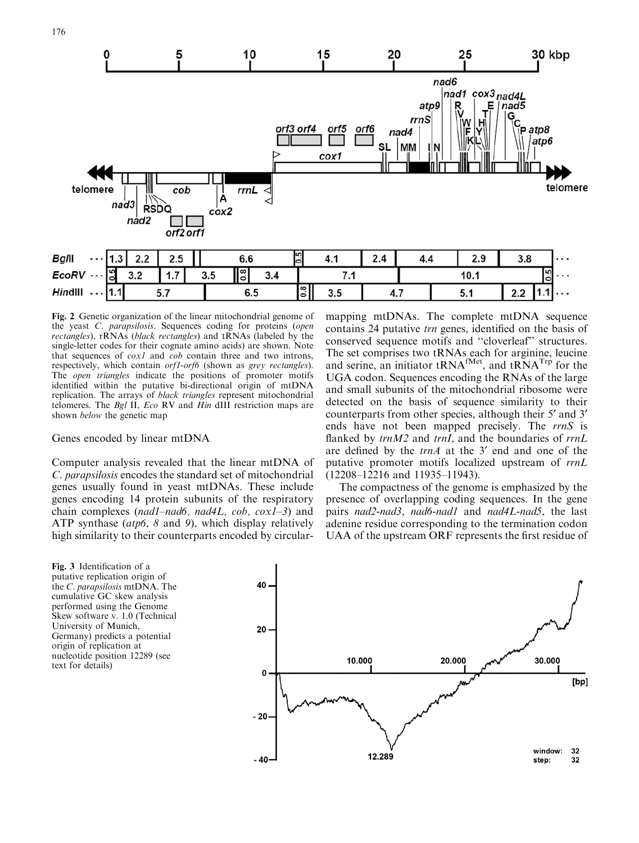

Fig. 2 Genetic organization of the linear mitochondrial genome of the yeast C. parapsilosis. Sequences coding for proteins (open rectangles), rRNAs (black rectangles) and tRNAs (labeled by the single-letter codes for their cognate amino acids) are shown. Note that sequences of cox1 and cob contain three and two introns, respectively, which contain *orf1-orf6* (shown as *grey rectangles*). The *open triangles* indicate the positions of promoter motifs identified within the putative bi-directional origin of mtDNA replication. The arrays of black triangles represent mitochondrial telomeres. The Bgl II, Eco RV and  $\tilde{H}$ in dIII restriction maps are shown below the genetic map

## Genes encoded by linear mtDNA

Computer analysis revealed that the linear mtDNA of C. parapsilosis encodes the standard set of mitochondrial genes usually found in yeast mtDNAs. These include genes encoding 14 protein subunits of the respiratory chain complexes (nad1–nad6, nad4L, cob,  $\cos(-3)$ ) and ATP synthase (atp6, 8 and 9), which display relatively high similarity to their counterparts encoded by circular-

Fig. 3 Identification of a putative replication origin of the C. parapsilosis mtDNA. The cumulative GC skew analysis performed using the Genome Skew software v. 1.0 (Technical University of Munich, Germany) predicts a potential origin of replication at nucleotide position 12289 (see text for details)

40 20 10.000 20.000 30.000  $\Omega$  $[bp]$  $-20$ 32 window: 12.289  $-40$ 32 step:

mapping mtDNAs. The complete mtDNA sequence contains 24 putative trn genes, identified on the basis of conserved sequence motifs and ''cloverleaf'' structures. The set comprises two tRNAs each for arginine, leucine and serine, an initiator  $tRNA^{fMet}$ , and  $tRNA^{Trp}$  for the UGA codon. Sequences encoding the RNAs of the large and small subunits of the mitochondrial ribosome were detected on the basis of sequence similarity to their counterparts from other species, although their 5' and 3' ends have not been mapped precisely. The rrnS is flanked by  $trnM2$  and  $trnI$ , and the boundaries of  $rrnL$ are defined by the  $trnA$  at the 3' end and one of the putative promoter motifs localized upstream of rrnL (12208–12216 and 11935–11943).

The compactness of the genome is emphasized by the presence of overlapping coding sequences. In the gene pairs nad2-nad3, nad6-nad1 and nad4L-nad5, the last adenine residue corresponding to the termination codon UAA of the upstream ORF represents the first residue of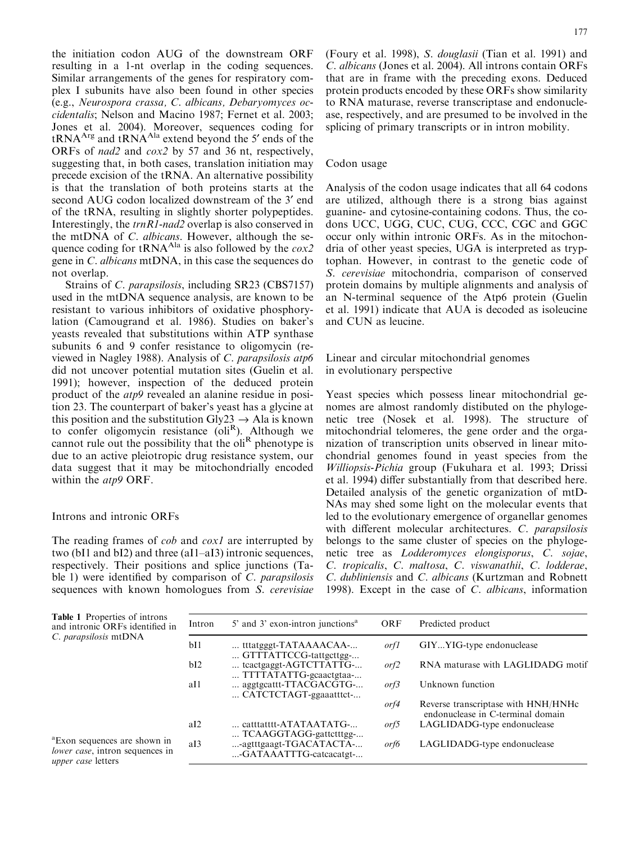the initiation codon AUG of the downstream ORF resulting in a 1-nt overlap in the coding sequences. Similar arrangements of the genes for respiratory complex I subunits have also been found in other species (e.g., Neurospora crassa, C. albicans, Debaryomyces occidentalis; Nelson and Macino 1987; Fernet et al. 2003; Jones et al. 2004). Moreover, sequences coding for  $tRNA<sup>Arg</sup>$  and  $tRNA<sup>A1a</sup>$  extend beyond the 5<sup> $\prime$ </sup> ends of the ORFs of nad2 and cox2 by 57 and 36 nt, respectively, suggesting that, in both cases, translation initiation may precede excision of the tRNA. An alternative possibility is that the translation of both proteins starts at the second AUG codon localized downstream of the 3' end of the tRNA, resulting in slightly shorter polypeptides. Interestingly, the  $trnR1$ -nad2 overlap is also conserved in the mtDNA of C. albicans. However, although the sequence coding for tRNA<sup>Ala</sup> is also followed by the  $\cos 2$ gene in C. albicans mtDNA, in this case the sequences do not overlap.

Strains of C. parapsilosis, including SR23 (CBS7157) used in the mtDNA sequence analysis, are known to be resistant to various inhibitors of oxidative phosphorylation (Camougrand et al. 1986). Studies on baker's yeasts revealed that substitutions within ATP synthase subunits 6 and 9 confer resistance to oligomycin (reviewed in Nagley 1988). Analysis of C. parapsilosis atp6 did not uncover potential mutation sites (Guelin et al. 1991); however, inspection of the deduced protein product of the atp9 revealed an alanine residue in position 23. The counterpart of baker's yeast has a glycine at this position and the substitution Gly23  $\rightarrow$  Ala is known to confer oligomycin resistance  $\overline{(oli^R)}$ . Although we cannot rule out the possibility that the  $\text{oli}^R$  phenotype is due to an active pleiotropic drug resistance system, our data suggest that it may be mitochondrially encoded within the *atp9* ORF.

## Introns and intronic ORFs

The reading frames of *cob* and *cox1* are interrupted by two (bI1 and bI2) and three (aI1–aI3) intronic sequences, respectively. Their positions and splice junctions (Table 1) were identified by comparison of C. parapsilosis sequences with known homologues from S. cerevisiae

(Foury et al. 1998), S. douglasii (Tian et al. 1991) and C. albicans (Jones et al. 2004). All introns contain ORFs that are in frame with the preceding exons. Deduced protein products encoded by these ORFs show similarity to RNA maturase, reverse transcriptase and endonuclease, respectively, and are presumed to be involved in the splicing of primary transcripts or in intron mobility.

## Codon usage

Analysis of the codon usage indicates that all 64 codons are utilized, although there is a strong bias against guanine- and cytosine-containing codons. Thus, the codons UCC, UGG, CUC, CUG, CCC, CGC and GGC occur only within intronic ORFs. As in the mitochondria of other yeast species, UGA is interpreted as tryptophan. However, in contrast to the genetic code of S. cerevisiae mitochondria, comparison of conserved protein domains by multiple alignments and analysis of an N-terminal sequence of the Atp6 protein (Guelin et al. 1991) indicate that AUA is decoded as isoleucine and CUN as leucine.

Linear and circular mitochondrial genomes in evolutionary perspective

Yeast species which possess linear mitochondrial genomes are almost randomly distibuted on the phylogenetic tree (Nosek et al. 1998). The structure of mitochondrial telomeres, the gene order and the organization of transcription units observed in linear mitochondrial genomes found in yeast species from the Williopsis-Pichia group (Fukuhara et al. 1993; Drissi et al. 1994) differ substantially from that described here. Detailed analysis of the genetic organization of mtD-NAs may shed some light on the molecular events that led to the evolutionary emergence of organellar genomes with different molecular architectures. C. parapsilosis belongs to the same cluster of species on the phylogenetic tree as Lodderomyces elongisporus, C. sojae, C. tropicalis, C. maltosa, C. viswanathii, C. lodderae, C. dubliniensis and C. albicans (Kurtzman and Robnett 1998). Except in the case of C. albicans, information

| <b>Table 1</b> Properties of introns<br>and intronic ORFs identified in<br>C. parapsilosis mtDNA         | Intron | 5' and 3' exon-intron junctions <sup>a</sup>       | <b>ORF</b>       | Predicted product                                                        |
|----------------------------------------------------------------------------------------------------------|--------|----------------------------------------------------|------------------|--------------------------------------------------------------------------|
|                                                                                                          | bI1    | tttatgggt-TATAAAACAA-<br>GTTTATTCCG-tattgcttgg-    | <i>orf1</i>      | GIYYIG-type endonuclease                                                 |
|                                                                                                          | bI2    | teactgaggt-AGTCTTATTG-<br>TTTTATATTG-gcaactgtaa-   | orf <sub>2</sub> | RNA maturase with LAGLIDADG motif                                        |
|                                                                                                          | aI1    | aggtgcattt-TTACGACGTG-<br>CATCTCTAGT-ggaaatttct-   | orf3             | Unknown function                                                         |
|                                                                                                          |        |                                                    | orf4             | Reverse transcriptase with HNH/HNHc<br>endonuclease in C-terminal domain |
|                                                                                                          | aI2    | catttatttt-ATATAATATG-<br>TCAAGGTAGG-gattetttgg-   | orf5             | LAGLIDADG-type endonuclease                                              |
| <sup>a</sup> Exon sequences are shown in<br>lower case, intron sequences in<br><i>upper case</i> letters | aI3    | -agtttgaagt-TGACATACTA-<br>-GATAAATTTG-catcacatgt- | <i>orf6</i>      | LAGLIDADG-type endonuclease                                              |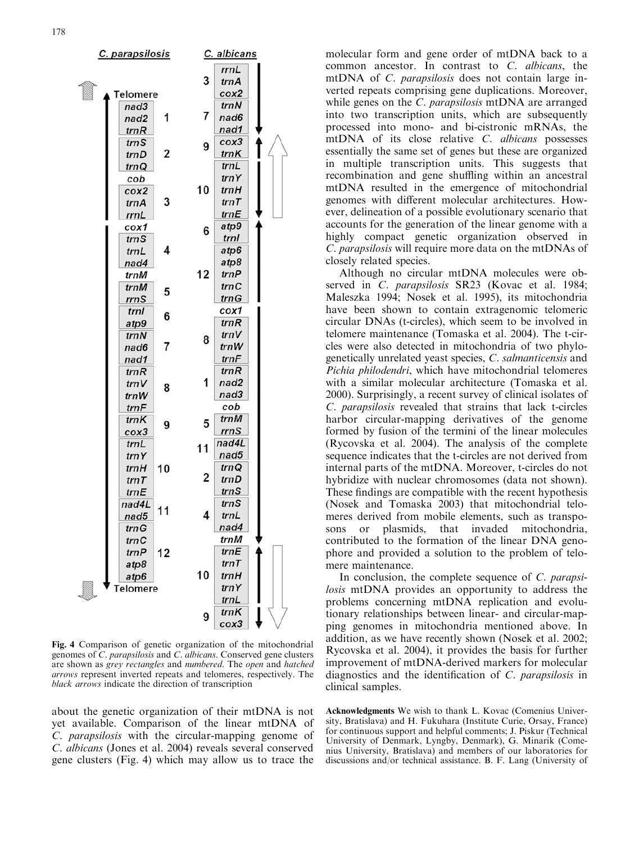

Fig. 4 Comparison of genetic organization of the mitochondrial genomes of C. parapsilosis and C. albicans. Conserved gene clusters are shown as grey rectangles and numbered. The open and hatched arrows represent inverted repeats and telomeres, respectively. The black arrows indicate the direction of transcription

about the genetic organization of their mtDNA is not yet available. Comparison of the linear mtDNA of C. parapsilosis with the circular-mapping genome of C. albicans (Jones et al. 2004) reveals several conserved gene clusters (Fig. 4) which may allow us to trace the

molecular form and gene order of mtDNA back to a common ancestor. In contrast to C. albicans, the mtDNA of C. *parapsilosis* does not contain large inverted repeats comprising gene duplications. Moreover, while genes on the C. parapsilosis mtDNA are arranged into two transcription units, which are subsequently processed into mono- and bi-cistronic mRNAs, the mtDNA of its close relative C. albicans possesses essentially the same set of genes but these are organized in multiple transcription units. This suggests that recombination and gene shuffling within an ancestral mtDNA resulted in the emergence of mitochondrial genomes with different molecular architectures. However, delineation of a possible evolutionary scenario that accounts for the generation of the linear genome with a highly compact genetic organization observed in C. parapsilosis will require more data on the mtDNAs of closely related species.

Although no circular mtDNA molecules were observed in C. parapsilosis SR23 (Kovac et al. 1984; Maleszka 1994; Nosek et al. 1995), its mitochondria have been shown to contain extragenomic telomeric circular DNAs (t-circles), which seem to be involved in telomere maintenance (Tomaska et al. 2004). The t-circles were also detected in mitochondria of two phylogenetically unrelated yeast species, C. salmanticensis and Pichia philodendri, which have mitochondrial telomeres with a similar molecular architecture (Tomaska et al. 2000). Surprisingly, a recent survey of clinical isolates of C. parapsilosis revealed that strains that lack t-circles harbor circular-mapping derivatives of the genome formed by fusion of the termini of the linear molecules (Rycovska et al. 2004). The analysis of the complete sequence indicates that the t-circles are not derived from internal parts of the mtDNA. Moreover, t-circles do not hybridize with nuclear chromosomes (data not shown). These findings are compatible with the recent hypothesis (Nosek and Tomaska 2003) that mitochondrial telomeres derived from mobile elements, such as transposons or plasmids, that invaded mitochondria, contributed to the formation of the linear DNA genophore and provided a solution to the problem of telomere maintenance.

In conclusion, the complete sequence of C. parapsilosis mtDNA provides an opportunity to address the problems concerning mtDNA replication and evolutionary relationships between linear- and circular-mapping genomes in mitochondria mentioned above. In addition, as we have recently shown (Nosek et al. 2002; Rycovska et al. 2004), it provides the basis for further improvement of mtDNA-derived markers for molecular diagnostics and the identification of C. parapsilosis in clinical samples.

Acknowledgments We wish to thank L. Kovac (Comenius University, Bratislava) and H. Fukuhara (Institute Curie, Orsay, France) for continuous support and helpful comments; J. Piskur (Technical University of Denmark, Lyngby, Denmark), G. Minarik (Comenius University, Bratislava) and members of our laboratories for discussions and/or technical assistance. B. F. Lang (University of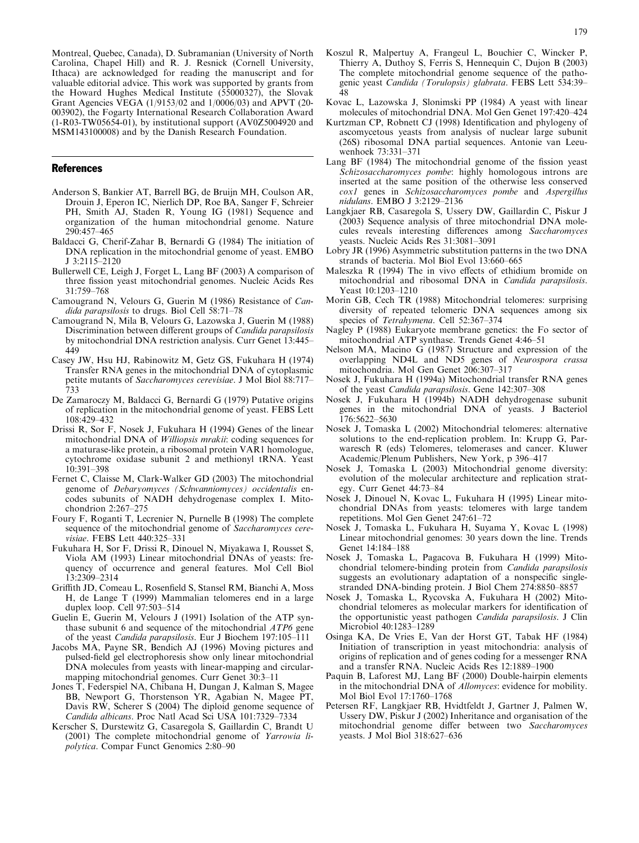Montreal, Quebec, Canada), D. Subramanian (University of North Carolina, Chapel Hill) and R. J. Resnick (Cornell University, Ithaca) are acknowledged for reading the manuscript and for valuable editorial advice. This work was supported by grants from the Howard Hughes Medical Institute (55000327), the Slovak Grant Agencies VEGA (1/9153/02 and 1/0006/03) and APVT (20- 003902), the Fogarty International Research Collaboration Award (1-R03-TW05654-01), by institutional support (AV0Z5004920 and MSM143100008) and by the Danish Research Foundation.

#### References

- Anderson S, Bankier AT, Barrell BG, de Bruijn MH, Coulson AR, Drouin J, Eperon IC, Nierlich DP, Roe BA, Sanger F, Schreier PH, Smith AJ, Staden R, Young IG (1981) Sequence and organization of the human mitochondrial genome. Nature 290:457–465
- Baldacci G, Cherif-Zahar B, Bernardi G (1984) The initiation of DNA replication in the mitochondrial genome of yeast. EMBO J 3:2115–2120
- Bullerwell CE, Leigh J, Forget L, Lang BF (2003) A comparison of three fission yeast mitochondrial genomes. Nucleic Acids Res 31:759–768
- Camougrand N, Velours G, Guerin M (1986) Resistance of Candida parapsilosis to drugs. Biol Cell 58:71–78
- Camougrand N, Mila B, Velours G, Lazowska J, Guerin M (1988) Discrimination between different groups of Candida parapsilosis by mitochondrial DNA restriction analysis. Curr Genet 13:445– 449
- Casey JW, Hsu HJ, Rabinowitz M, Getz GS, Fukuhara H (1974) Transfer RNA genes in the mitochondrial DNA of cytoplasmic petite mutants of Saccharomyces cerevisiae. J Mol Biol 88:717– 733
- De Zamaroczy M, Baldacci G, Bernardi G (1979) Putative origins of replication in the mitochondrial genome of yeast. FEBS Lett 108:429–432
- Drissi R, Sor F, Nosek J, Fukuhara H (1994) Genes of the linear mitochondrial DNA of Williopsis mrakii: coding sequences for a maturase-like protein, a ribosomal protein VAR1 homologue, cytochrome oxidase subunit 2 and methionyl tRNA. Yeast 10:391–398
- Fernet C, Claisse M, Clark-Walker GD (2003) The mitochondrial genome of Debaryomyces (Schwanniomyces) occidentalis encodes subunits of NADH dehydrogenase complex I. Mitochondrion 2:267–275
- Foury F, Roganti T, Lecrenier N, Purnelle B (1998) The complete sequence of the mitochondrial genome of Saccharomyces cerevisiae. FEBS Lett 440:325–331
- Fukuhara H, Sor F, Drissi R, Dinouel N, Miyakawa I, Rousset S, Viola AM (1993) Linear mitochondrial DNAs of yeasts: frequency of occurrence and general features. Mol Cell Biol 13:2309–2314
- Griffith JD, Comeau L, Rosenfield S, Stansel RM, Bianchi A, Moss H, de Lange T (1999) Mammalian telomeres end in a large duplex loop. Cell 97:503–514
- Guelin E, Guerin M, Velours J (1991) Isolation of the ATP synthase subunit 6 and sequence of the mitochondrial ATP6 gene of the yeast Candida parapsilosis. Eur J Biochem 197:105–111
- Jacobs MA, Payne SR, Bendich AJ (1996) Moving pictures and pulsed-field gel electrophoresis show only linear mitochondrial DNA molecules from yeasts with linear-mapping and circularmapping mitochondrial genomes. Curr Genet 30:3–11
- Jones T, Federspiel NA, Chibana H, Dungan J, Kalman S, Magee BB, Newport G, Thorstenson YR, Agabian N, Magee PT, Davis RW, Scherer S (2004) The diploid genome sequence of Candida albicans. Proc Natl Acad Sci USA 101:7329–7334
- Kerscher S, Durstewitz G, Casaregola S, Gaillardin C, Brandt U (2001) The complete mitochondrial genome of Yarrowia lipolytica. Compar Funct Genomics 2:80–90
- Koszul R, Malpertuy A, Frangeul L, Bouchier C, Wincker P, Thierry A, Duthoy S, Ferris S, Hennequin C, Dujon B (2003) The complete mitochondrial genome sequence of the pathogenic yeast Candida (Torulopsis) glabrata. FEBS Lett 534:39-48
- Kovac L, Lazowska J, Slonimski PP (1984) A yeast with linear molecules of mitochondrial DNA. Mol Gen Genet 197:420–424
- Kurtzman CP, Robnett CJ (1998) Identification and phylogeny of ascomycetous yeasts from analysis of nuclear large subunit (26S) ribosomal DNA partial sequences. Antonie van Leeuwenhoek 73:331–371
- Lang BF (1984) The mitochondrial genome of the fission yeast Schizosaccharomyces pombe: highly homologous introns are inserted at the same position of the otherwise less conserved cox1 genes in Schizosaccharomyces pombe and Aspergillus nidulans. EMBO J 3:2129–2136
- Langkjaer RB, Casaregola S, Ussery DW, Gaillardin C, Piskur J (2003) Sequence analysis of three mitochondrial DNA molecules reveals interesting differences among Saccharomyces yeasts. Nucleic Acids Res 31:3081–3091
- Lobry JR (1996) Asymmetric substitution patterns in the two DNA strands of bacteria. Mol Biol Evol 13:660–665
- Maleszka R (1994) The in vivo effects of ethidium bromide on mitochondrial and ribosomal DNA in Candida parapsilosis. Yeast 10:1203–1210
- Morin GB, Cech TR (1988) Mitochondrial telomeres: surprising diversity of repeated telomeric DNA sequences among six species of Tetrahymena. Cell 52:367–374
- Nagley P (1988) Eukaryote membrane genetics: the Fo sector of mitochondrial ATP synthase. Trends Genet 4:46–51
- Nelson MA, Macino G (1987) Structure and expression of the overlapping ND4L and ND5 genes of Neurospora crassa mitochondria. Mol Gen Genet 206:307–317
- Nosek J, Fukuhara H (1994a) Mitochondrial transfer RNA genes of the yeast Candida parapsilosis. Gene 142:307–308
- Nosek J, Fukuhara H (1994b) NADH dehydrogenase subunit genes in the mitochondrial DNA of yeasts. J Bacteriol 176:5622–5630
- Nosek J, Tomaska L (2002) Mitochondrial telomeres: alternative solutions to the end-replication problem. In: Krupp G, Parwaresch R (eds) Telomeres, telomerases and cancer. Kluwer Academic/Plenum Publishers, New York, p 396–417
- Nosek J, Tomaska L (2003) Mitochondrial genome diversity: evolution of the molecular architecture and replication strategy. Curr Genet 44:73–84
- Nosek J, Dinouel N, Kovac L, Fukuhara H (1995) Linear mitochondrial DNAs from yeasts: telomeres with large tandem repetitions. Mol Gen Genet 247:61–72
- Nosek J, Tomaska L, Fukuhara H, Suyama Y, Kovac L (1998) Linear mitochondrial genomes: 30 years down the line. Trends Genet 14:184–188
- Nosek J, Tomaska L, Pagacova B, Fukuhara H (1999) Mitochondrial telomere-binding protein from Candida parapsilosis suggests an evolutionary adaptation of a nonspecific singlestranded DNA-binding protein. J Biol Chem 274:8850–8857
- Nosek J, Tomaska L, Rycovska A, Fukuhara H (2002) Mitochondrial telomeres as molecular markers for identification of the opportunistic yeast pathogen Candida parapsilosis. J Clin Microbiol 40:1283–1289
- Osinga KA, De Vries E, Van der Horst GT, Tabak HF (1984) Initiation of transcription in yeast mitochondria: analysis of origins of replication and of genes coding for a messenger RNA and a transfer RNA. Nucleic Acids Res 12:1889–1900
- Paquin B, Laforest MJ, Lang BF (2000) Double-hairpin elements in the mitochondrial DNA of *Allomyces*: evidence for mobility. Mol Biol Evol 17:1760–1768
- Petersen RF, Langkjaer RB, Hvidtfeldt J, Gartner J, Palmen W, Ussery DW, Piskur J (2002) Inheritance and organisation of the mitochondrial genome differ between two Saccharomyces yeasts. J Mol Biol 318:627–636